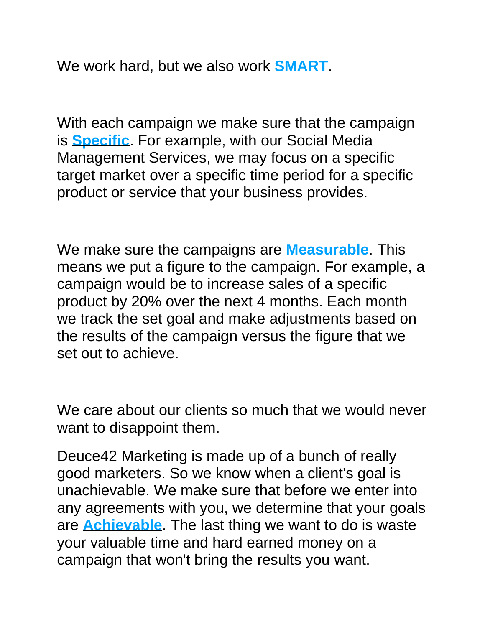We work hard, but we also work **SMART**.

With each campaign we make sure that the campaign is **Specific**. For example, with our Social Media Management Services, we may focus on a specific target market over a specific time period for a specific product or service that your business provides.

We make sure the campaigns are **Measurable**. This means we put a figure to the campaign. For example, a campaign would be to increase sales of a specific product by 20% over the next 4 months. Each month we track the set goal and make adjustments based on the results of the campaign versus the figure that we set out to achieve.

We care about our clients so much that we would never want to disappoint them.

Deuce42 Marketing is made up of a bunch of really good marketers. So we know when a client's goal is unachievable. We make sure that before we enter into any agreements with you, we determine that your goals are **Achievable**. The last thing we want to do is waste your valuable time and hard earned money on a campaign that won't bring the results you want.